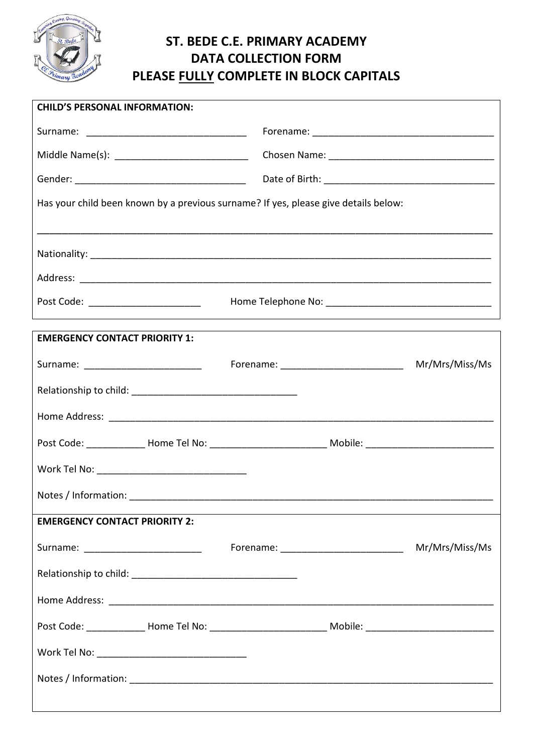

## **ST. BEDE C.E. PRIMARY ACADEMY DATA COLLECTION FORM PLEASE FULLY COMPLETE IN BLOCK CAPITALS**

| <b>CHILD'S PERSONAL INFORMATION:</b>                                                |  |                |
|-------------------------------------------------------------------------------------|--|----------------|
|                                                                                     |  |                |
|                                                                                     |  |                |
|                                                                                     |  |                |
| Has your child been known by a previous surname? If yes, please give details below: |  |                |
|                                                                                     |  |                |
|                                                                                     |  |                |
|                                                                                     |  |                |
| Post Code: __________________________                                               |  |                |
|                                                                                     |  |                |
| <b>EMERGENCY CONTACT PRIORITY 1:</b>                                                |  |                |
| Surname: __________________________                                                 |  |                |
|                                                                                     |  |                |
|                                                                                     |  |                |
|                                                                                     |  |                |
| Work Tel No: __________________________________                                     |  |                |
| Notes / Information:                                                                |  |                |
| <b>EMERGENCY CONTACT PRIORITY 2:</b>                                                |  |                |
| Surname: _________________________                                                  |  | Mr/Mrs/Miss/Ms |
|                                                                                     |  |                |
|                                                                                     |  |                |
|                                                                                     |  |                |
|                                                                                     |  |                |
|                                                                                     |  |                |
|                                                                                     |  |                |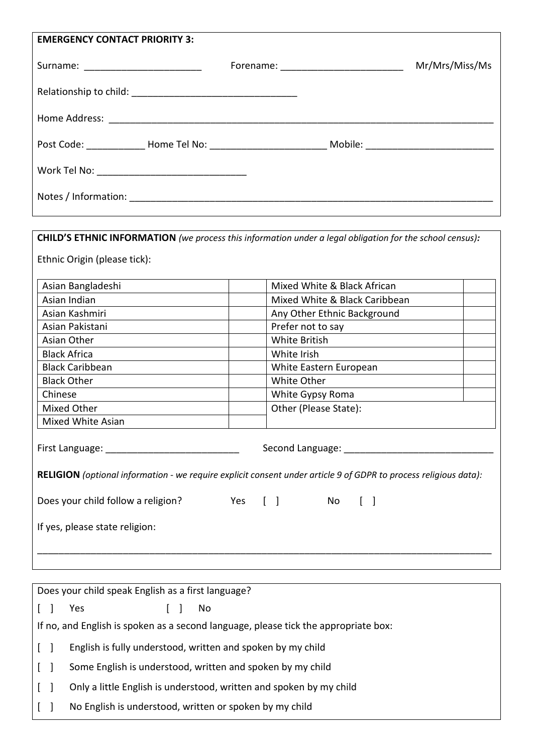| <b>EMERGENCY CONTACT PRIORITY 3:</b>            |  |                |
|-------------------------------------------------|--|----------------|
| Surname: ________________________               |  | Mr/Mrs/Miss/Ms |
|                                                 |  |                |
|                                                 |  |                |
|                                                 |  |                |
| Work Tel No: __________________________________ |  |                |
|                                                 |  |                |
|                                                 |  |                |

| Asian Bangladeshi                  | Mixed White & Black African                                                                                                                     |
|------------------------------------|-------------------------------------------------------------------------------------------------------------------------------------------------|
| Asian Indian                       | Mixed White & Black Caribbean                                                                                                                   |
| Asian Kashmiri                     | Any Other Ethnic Background                                                                                                                     |
| Asian Pakistani                    | Prefer not to say                                                                                                                               |
| Asian Other                        | <b>White British</b>                                                                                                                            |
| <b>Black Africa</b>                | White Irish                                                                                                                                     |
| <b>Black Caribbean</b>             | White Eastern European                                                                                                                          |
| <b>Black Other</b>                 | White Other                                                                                                                                     |
| Chinese                            | White Gypsy Roma                                                                                                                                |
| Mixed Other                        | Other (Please State):                                                                                                                           |
| Mixed White Asian                  |                                                                                                                                                 |
| First Language:                    | Second Language: __________<br>RELIGION (optional information - we require explicit consent under article 9 of GDPR to process religious data): |
| Does your child follow a religion? | Yes [ ] No [ ]                                                                                                                                  |

|              | Does your child speak English as a first language?                                  |
|--------------|-------------------------------------------------------------------------------------|
|              | Yes<br>No.                                                                          |
|              | If no, and English is spoken as a second language, please tick the appropriate box: |
| $\mathbf{1}$ | English is fully understood, written and spoken by my child                         |
|              | Some English is understood, written and spoken by my child                          |
|              | Only a little English is understood, written and spoken by my child                 |
|              | No English is understood, written or spoken by my child                             |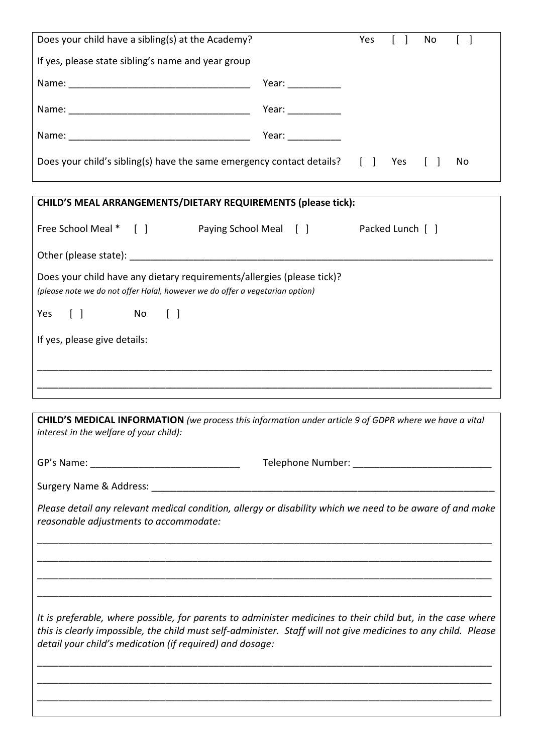| Does your child have a sibling(s) at the Academy?                                                                                                                                                                                                                                         |                                                                                                                                                                                                                                                                                                                                                                                                                          | Yes |                  | No |    |
|-------------------------------------------------------------------------------------------------------------------------------------------------------------------------------------------------------------------------------------------------------------------------------------------|--------------------------------------------------------------------------------------------------------------------------------------------------------------------------------------------------------------------------------------------------------------------------------------------------------------------------------------------------------------------------------------------------------------------------|-----|------------------|----|----|
| If yes, please state sibling's name and year group                                                                                                                                                                                                                                        |                                                                                                                                                                                                                                                                                                                                                                                                                          |     |                  |    |    |
|                                                                                                                                                                                                                                                                                           | Year: $\frac{1}{\sqrt{1-\frac{1}{2}}}\frac{1}{\sqrt{1-\frac{1}{2}}}\frac{1}{\sqrt{1-\frac{1}{2}}}\frac{1}{\sqrt{1-\frac{1}{2}}}\frac{1}{\sqrt{1-\frac{1}{2}}}\frac{1}{\sqrt{1-\frac{1}{2}}}\frac{1}{\sqrt{1-\frac{1}{2}}}\frac{1}{\sqrt{1-\frac{1}{2}}}\frac{1}{\sqrt{1-\frac{1}{2}}}\frac{1}{\sqrt{1-\frac{1}{2}}}\frac{1}{\sqrt{1-\frac{1}{2}}}\frac{1}{\sqrt{1-\frac{1}{2}}}\frac{1}{\sqrt{1-\frac{1}{2}}}\frac{1}{\$ |     |                  |    |    |
|                                                                                                                                                                                                                                                                                           |                                                                                                                                                                                                                                                                                                                                                                                                                          |     |                  |    |    |
|                                                                                                                                                                                                                                                                                           |                                                                                                                                                                                                                                                                                                                                                                                                                          |     |                  |    |    |
| Does your child's sibling(s) have the same emergency contact details? [ ] Yes                                                                                                                                                                                                             |                                                                                                                                                                                                                                                                                                                                                                                                                          |     |                  |    | No |
| CHILD'S MEAL ARRANGEMENTS/DIETARY REQUIREMENTS (please tick):                                                                                                                                                                                                                             |                                                                                                                                                                                                                                                                                                                                                                                                                          |     |                  |    |    |
| Free School Meal * [ ] Paying School Meal [ ]                                                                                                                                                                                                                                             |                                                                                                                                                                                                                                                                                                                                                                                                                          |     | Packed Lunch [ ] |    |    |
|                                                                                                                                                                                                                                                                                           |                                                                                                                                                                                                                                                                                                                                                                                                                          |     |                  |    |    |
| Does your child have any dietary requirements/allergies (please tick)?<br>(please note we do not offer Halal, however we do offer a vegetarian option)                                                                                                                                    |                                                                                                                                                                                                                                                                                                                                                                                                                          |     |                  |    |    |
| $\lceil \; \rceil$<br>$No$ $[$ $]$<br>Yes                                                                                                                                                                                                                                                 |                                                                                                                                                                                                                                                                                                                                                                                                                          |     |                  |    |    |
| If yes, please give details:                                                                                                                                                                                                                                                              |                                                                                                                                                                                                                                                                                                                                                                                                                          |     |                  |    |    |
|                                                                                                                                                                                                                                                                                           |                                                                                                                                                                                                                                                                                                                                                                                                                          |     |                  |    |    |
|                                                                                                                                                                                                                                                                                           |                                                                                                                                                                                                                                                                                                                                                                                                                          |     |                  |    |    |
| <b>CHILD'S MEDICAL INFORMATION</b> (we process this information under article 9 of GDPR where we have a vital<br>interest in the welfare of your child):                                                                                                                                  |                                                                                                                                                                                                                                                                                                                                                                                                                          |     |                  |    |    |
|                                                                                                                                                                                                                                                                                           |                                                                                                                                                                                                                                                                                                                                                                                                                          |     |                  |    |    |
|                                                                                                                                                                                                                                                                                           |                                                                                                                                                                                                                                                                                                                                                                                                                          |     |                  |    |    |
| Please detail any relevant medical condition, allergy or disability which we need to be aware of and make<br>reasonable adjustments to accommodate:                                                                                                                                       |                                                                                                                                                                                                                                                                                                                                                                                                                          |     |                  |    |    |
|                                                                                                                                                                                                                                                                                           |                                                                                                                                                                                                                                                                                                                                                                                                                          |     |                  |    |    |
|                                                                                                                                                                                                                                                                                           |                                                                                                                                                                                                                                                                                                                                                                                                                          |     |                  |    |    |
| It is preferable, where possible, for parents to administer medicines to their child but, in the case where<br>this is clearly impossible, the child must self-administer. Staff will not give medicines to any child. Please<br>detail your child's medication (if required) and dosage: |                                                                                                                                                                                                                                                                                                                                                                                                                          |     |                  |    |    |
|                                                                                                                                                                                                                                                                                           |                                                                                                                                                                                                                                                                                                                                                                                                                          |     |                  |    |    |
|                                                                                                                                                                                                                                                                                           |                                                                                                                                                                                                                                                                                                                                                                                                                          |     |                  |    |    |